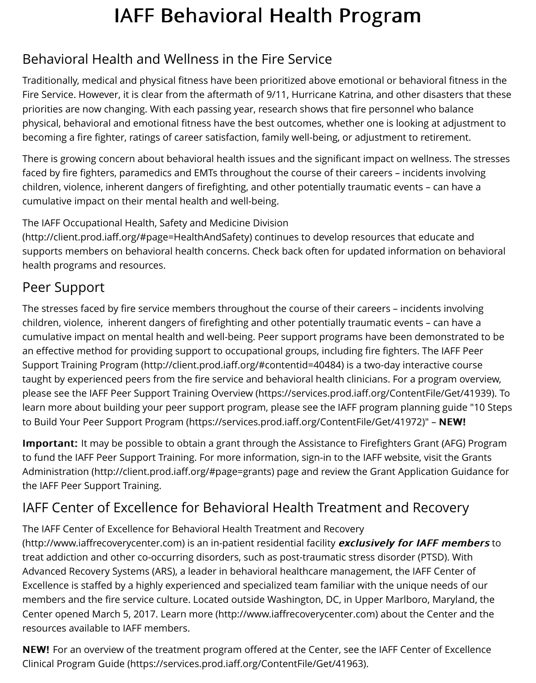Fire Service. However, it is clear from the aftermath of 9/11, Hurricane Katrina, and other disaste priorities are now changing. With each passing year, research shows that fire personnel who balance physical, behavioral and emotional fitness have the best outcomes, whether one is looking at ad becoming a fire fighter, ratings of career satisfaction, family well-being, or adjustment to retireme

There is growing concern about behavioral health issues and the significant impact on wellness. faced by fire fighters, paramedics and EMTs throughout the course of their careers - incidents in children, violence, inherent dangers of firefighting, and other potentially traumatic events – can h cumulative impact on their mental health and well-being.

The IAFF Occupational Health, Safety and Medicine Division

(http://client.prod.iaff.org/#page=HealthAndSafety) continues to develop resources that educate supports members on behavioral health concerns. Check back often for updated information on health programs and resources.

## Peer Support

The stresses faced by fire service members throughout the course of their careers - incidents inv [children, violence, inherent dangers of firefighting and othe](http://client.prod.iaff.org/#page=HealthAndSafety)r potentially traumatic events - can h cumulative impact on mental health and well-being. Peer support programs have been demonst an effective method for providing support to occupational groups, including fire fighters. The IAF Support Training Program (http://client.prod.iaff.org/#contentid=40484) is a two-day interactive o taught by experienced peers from the fire service and behavioral health clinicians. For a program please see the IAFF Peer Support Training Overview (https://services.prod.iaff.org/ContentFile/Ge learn more about building your peer support program, please see the IAFF program planning gui to Build Your Peer Support Program (https://services.prod.iaff.org/ContentFile/Get/41972)" - NEV

**Important:** It may be possible to obtain a grant through the Assistance to Firefighters Grant (AF to fund the IAFF Peer Support Training. For more information, sign-in to the IAFF website, visit the Administration (http://client.prod.iaff.org/#page=grants) page and review the Grant Application C the IAFF Peer [Support Training.](https://services.prod.iaff.org/ContentFile/Get/41939)

# IAFF Center of Excellence for Behavioral Health Treatment and Recove

The IAFF Center of Excellence for Behavioral Health Treatment and Recovery (http://www.iaffrecoverycenter.com) is an in-patient residential facility exclusively for IAFF me treat addiction and other co-occurring disorders, such as post-traumatic stress disorder (PTSD). \ Advanced Recovery Systems (ARS), a leader in behavioral healthcare management, the IAFF Cent Excellence is staffed by a highly experienced and specialized team familiar with the unique needs members and the fire service culture. Located outside Washington, DC, in Upper Marlboro, Mary Center opened March 5, 2017. Learn more (http://www.iaffrecoverycenter.com) about the Center [resources available to IAFF members.](http://www.iaffrecoverycenter.com/)

NEW! For an overview of the treatment program offered at the Center, see the IAFF Center of Ex Clinical Program Guide (https://services.prod.iaff.org/ContentFile/Get/41963).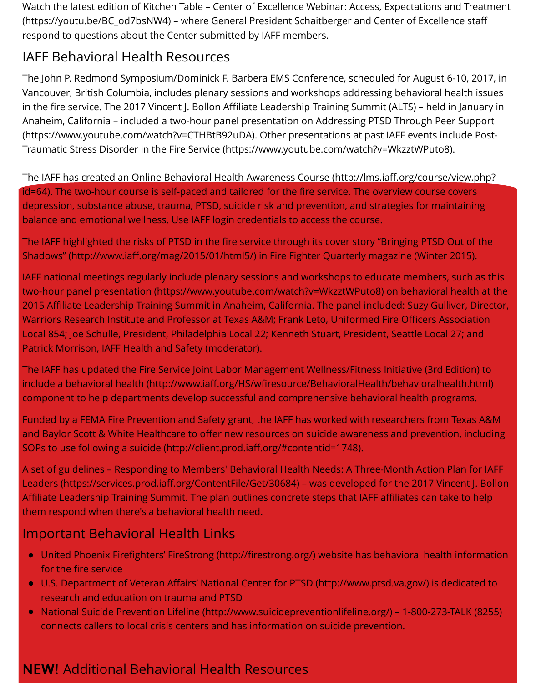Vancouver, British Columbia, includes plenary sessions and workshops addressing behavioral health issues in the fire service. The 2017 Vincent J. Bollon Affiliate Leadership Training Summit (ALTS) - held in Anaheim, California – included a two-hour panel presentation on Addressing PTSD Through Peer (https://www.youtube.com/watch?v=CTHBtB92uDA). Other presentations at past IAFF events incl Traumatic Stress Disorder in the Fire Service (https://www.youtube.com/watch?v=WkzztWPuto8).

The IAFF has created an Online Behavioral Health Awareness Course (http://lms.iaff.org/course/v id=64). The two-hour course is self-paced and tailored for the fire service. The overview course co depression, substance abuse, trauma, PTSD, suicide risk and prevention, and strategies for maint balance and emotional wellness. Use IAFF login credentials to access the course.

The IAFF highlighted the risks of PTSD in the fire service through its cover story "Bringing PTSD O Shadows" (http://www.iaff.org/mag/2015/01/html5/) in Fire Fighter Quarterly magazine (Winter 2

IAFF national meetings regularly include plenary sessions and workshops to educate members, s two-hour panel presentation (https://www.youtube.com/watch?v=WkzztWPuto8) on behavioral h 2015 Affiliate Leadership Training Summit in Anaheim, California. The panel included: Suzy Gulliv Warriors Research Institute and Professor at Texas A&M; Frank Leto, Uniformed Fire Officers Assec Local 854; Joe Schulle, President, Philadelphia Local 22; Kenneth Stuart, President, Seattle Local 2 Patrick Morrison, IAFF Health and Safety (moderator).

The IAFF has updated the Fire Service Joint Labor Management Wellness/Fitness Initiative (3rd Edition) include a [behavioral health \(http://www.iaff.org/HS/wfiresource/BehavioralHealth](https://www.youtube.com/watch?v=WkzztWPuto8)/behavioralhea component to help departments develop successful and comprehensive behavioral health progr

Funded by a FEMA Fire Prevention and Safety grant, the IAFF has worked with researchers from T and Baylor Scott & White Healthcare to offer new resources on suicide awareness and prevention SOPs to use following a suicide (http://client.prod.iaff.org/#contentid=1748).

A set of guidelines - Responding to Members' Behavioral Health Needs: A Three-Month Action Pl Leaders (https://services.prod.iaff.org/ContentFile/Get/30684) – was developed for the 2017 Vinc Affiliate Leadership Training Summit. The plan outlines concrete steps that IAFF affiliates can take them respond when there's a behavioral health need.

### [Important Behavioral Health Links](http://client.prod.iaff.org/#contentid=1748)

- United Phoenix Firefighters' FireStrong (http://firestrong.org/) website has behavioral health for the fire service
- U.S. Department of Veteran Affairs' National Center for PTSD (http://www.ptsd.va.gov/) is ded research and education on trauma and PTSD
- National Suicide Prevention Lifeline (http://www.suicidepreventionlifeline.org/) 1-800-273-T.  $\bullet$ connects callers to local crisis centers and has information on suicide prevention.

### NEW! Additional Behavioral [Health Resources](http://www.ptsd.va.gov/)